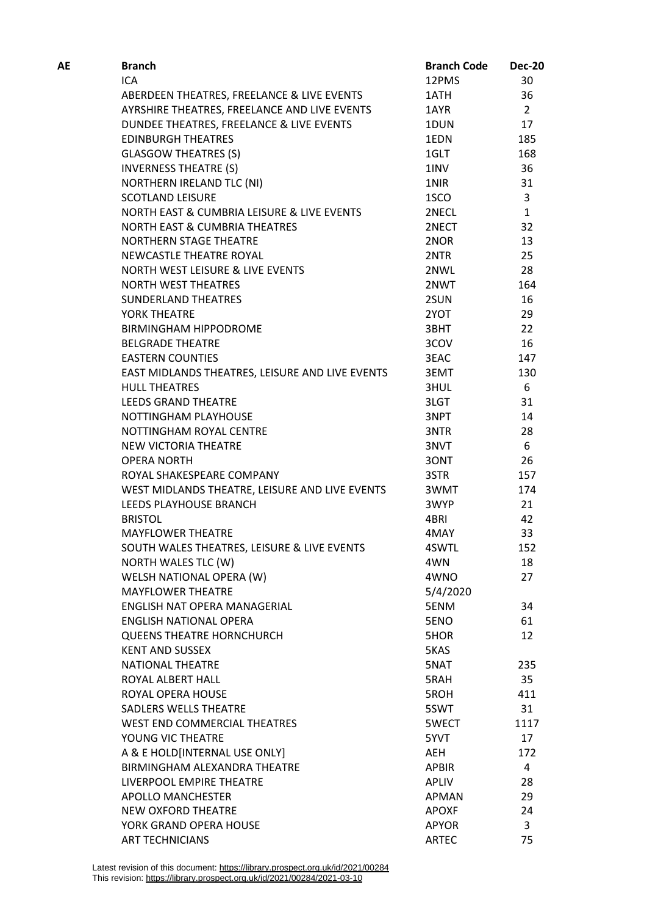| AE | <b>Branch</b>                                                      | <b>Branch Code</b> | <b>Dec-20</b>  |
|----|--------------------------------------------------------------------|--------------------|----------------|
|    | ICA                                                                | 12PMS              | 30             |
|    | ABERDEEN THEATRES, FREELANCE & LIVE EVENTS                         | 1ATH               | 36             |
|    | AYRSHIRE THEATRES, FREELANCE AND LIVE EVENTS                       | 1AYR               | $\overline{2}$ |
|    | DUNDEE THEATRES, FREELANCE & LIVE EVENTS                           | 1DUN               | 17             |
|    | <b>EDINBURGH THEATRES</b>                                          | 1EDN               | 185            |
|    | <b>GLASGOW THEATRES (S)</b>                                        | 1GLT               | 168            |
|    | <b>INVERNESS THEATRE (S)</b>                                       | 1INV               | 36             |
|    | <b>NORTHERN IRELAND TLC (NI)</b>                                   | 1NIR               | 31             |
|    | <b>SCOTLAND LEISURE</b>                                            | 1SCO               | 3              |
|    | NORTH EAST & CUMBRIA LEISURE & LIVE EVENTS                         | 2NECL              | $\mathbf{1}$   |
|    | <b>NORTH EAST &amp; CUMBRIA THEATRES</b>                           | 2NECT              | 32             |
|    | <b>NORTHERN STAGE THEATRE</b>                                      | 2NOR               | 13             |
|    | NEWCASTLE THEATRE ROYAL                                            | 2NTR               | 25             |
|    | NORTH WEST LEISURE & LIVE EVENTS                                   | 2NWL               | 28             |
|    | <b>NORTH WEST THEATRES</b>                                         | 2NWT               | 164            |
|    | SUNDERLAND THEATRES                                                | 2SUN               | 16             |
|    | YORK THEATRE                                                       | 2YOT               | 29             |
|    | <b>BIRMINGHAM HIPPODROME</b>                                       | 3BHT               | 22             |
|    | <b>BELGRADE THEATRE</b>                                            | 3COV               | 16             |
|    | <b>EASTERN COUNTIES</b>                                            | 3EAC               | 147            |
|    | EAST MIDLANDS THEATRES, LEISURE AND LIVE EVENTS                    | 3EMT               | 130            |
|    | <b>HULL THEATRES</b>                                               | 3HUL               | 6              |
|    | <b>LEEDS GRAND THEATRE</b>                                         | 3LGT               | 31             |
|    | NOTTINGHAM PLAYHOUSE                                               | 3NPT               | 14             |
|    | NOTTINGHAM ROYAL CENTRE                                            | 3NTR               | 28             |
|    | NEW VICTORIA THEATRE                                               | 3NVT               | 6              |
|    | <b>OPERA NORTH</b>                                                 | 30NT               | 26             |
|    | ROYAL SHAKESPEARE COMPANY                                          | 3STR               | 157            |
|    | WEST MIDLANDS THEATRE, LEISURE AND LIVE EVENTS                     | 3WMT               | 174            |
|    | LEEDS PLAYHOUSE BRANCH                                             | 3WYP               | 21             |
|    | <b>BRISTOL</b>                                                     | 4BRI               | 42             |
|    | <b>MAYFLOWER THEATRE</b>                                           | 4MAY               | 33             |
|    |                                                                    | 4SWTL              | 152            |
|    | SOUTH WALES THEATRES, LEISURE & LIVE EVENTS<br>NORTH WALES TLC (W) | 4WN                | 18             |
|    |                                                                    | 4WNO               |                |
|    | WELSH NATIONAL OPERA (W)                                           |                    | 27             |
|    | <b>MAYFLOWER THEATRE</b>                                           | 5/4/2020           |                |
|    | ENGLISH NAT OPERA MANAGERIAL<br><b>ENGLISH NATIONAL OPERA</b>      | 5ENM               | 34             |
|    |                                                                    | 5ENO               | 61<br>12       |
|    | <b>QUEENS THEATRE HORNCHURCH</b><br><b>KENT AND SUSSEX</b>         | 5HOR               |                |
|    |                                                                    | 5KAS               |                |
|    | <b>NATIONAL THEATRE</b>                                            | 5NAT               | 235            |
|    | ROYAL ALBERT HALL                                                  | 5RAH               | 35             |
|    | ROYAL OPERA HOUSE                                                  | 5ROH               | 411            |
|    | SADLERS WELLS THEATRE                                              | 5SWT               | 31             |
|    | WEST END COMMERCIAL THEATRES                                       | 5WECT              | 1117           |
|    | YOUNG VIC THEATRE                                                  | 5YVT               | 17             |
|    | A & E HOLD[INTERNAL USE ONLY]                                      | AEH                | 172            |
|    | BIRMINGHAM ALEXANDRA THEATRE                                       | <b>APBIR</b>       | 4              |
|    | LIVERPOOL EMPIRE THEATRE                                           | APLIV              | 28             |
|    | <b>APOLLO MANCHESTER</b>                                           | APMAN              | 29             |
|    | NEW OXFORD THEATRE                                                 | <b>APOXF</b>       | 24             |
|    | YORK GRAND OPERA HOUSE                                             | <b>APYOR</b>       | 3              |
|    | <b>ART TECHNICIANS</b>                                             | <b>ARTEC</b>       | 75             |

Latest revision of this document: https://library.prospect.org.uk/id/2021/00284 This revision: https://library.prospect.org.uk/id/2021/00284/2021-03-10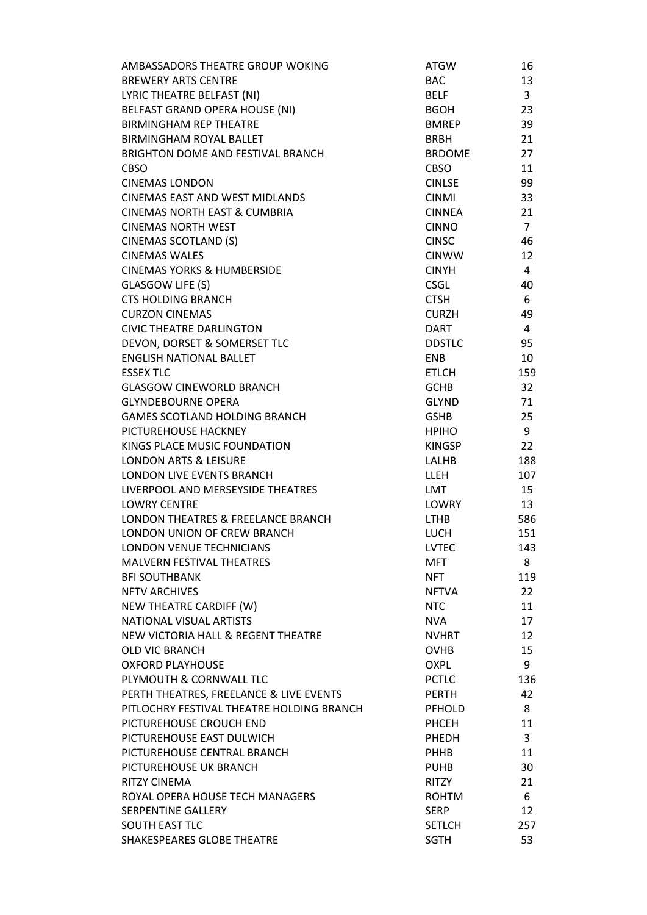| AMBASSADORS THEATRE GROUP WOKING          | <b>ATGW</b>   | 16             |
|-------------------------------------------|---------------|----------------|
| <b>BREWERY ARTS CENTRE</b>                | <b>BAC</b>    | 13             |
| LYRIC THEATRE BELFAST (NI)                | BELF          | $\overline{3}$ |
| BELFAST GRAND OPERA HOUSE (NI)            | <b>BGOH</b>   | 23             |
| <b>BIRMINGHAM REP THEATRE</b>             | <b>BMREP</b>  | 39             |
| <b>BIRMINGHAM ROYAL BALLET</b>            | <b>BRBH</b>   | 21             |
| BRIGHTON DOME AND FESTIVAL BRANCH         | <b>BRDOME</b> | 27             |
| <b>CBSO</b>                               | <b>CBSO</b>   | 11             |
| <b>CINEMAS LONDON</b>                     | <b>CINLSE</b> | 99             |
| <b>CINEMAS EAST AND WEST MIDLANDS</b>     | <b>CINMI</b>  | 33             |
| <b>CINEMAS NORTH EAST &amp; CUMBRIA</b>   | <b>CINNEA</b> | 21             |
| <b>CINEMAS NORTH WEST</b>                 | <b>CINNO</b>  | $\overline{7}$ |
| <b>CINEMAS SCOTLAND (S)</b>               | <b>CINSC</b>  | 46             |
| <b>CINEMAS WALES</b>                      | <b>CINWW</b>  | 12             |
| <b>CINEMAS YORKS &amp; HUMBERSIDE</b>     | <b>CINYH</b>  | 4              |
| GLASGOW LIFE (S)                          | <b>CSGL</b>   | 40             |
| <b>CTS HOLDING BRANCH</b>                 | <b>CTSH</b>   | 6              |
| <b>CURZON CINEMAS</b>                     | <b>CURZH</b>  | 49             |
| <b>CIVIC THEATRE DARLINGTON</b>           | <b>DART</b>   | 4              |
| DEVON, DORSET & SOMERSET TLC              | <b>DDSTLC</b> | 95             |
| <b>ENGLISH NATIONAL BALLET</b>            | <b>ENB</b>    | 10             |
|                                           |               |                |
| <b>ESSEX TLC</b>                          | <b>ETLCH</b>  | 159            |
| <b>GLASGOW CINEWORLD BRANCH</b>           | <b>GCHB</b>   | 32             |
| <b>GLYNDEBOURNE OPERA</b>                 | <b>GLYND</b>  | 71             |
| <b>GAMES SCOTLAND HOLDING BRANCH</b>      | <b>GSHB</b>   | 25             |
| PICTUREHOUSE HACKNEY                      | <b>HPIHO</b>  | 9              |
| KINGS PLACE MUSIC FOUNDATION              | KINGSP        | 22             |
| <b>LONDON ARTS &amp; LEISURE</b>          | LALHB         | 188            |
| LONDON LIVE EVENTS BRANCH                 | LLEH          | 107            |
| LIVERPOOL AND MERSEYSIDE THEATRES         | LMT           | 15             |
| <b>LOWRY CENTRE</b>                       | <b>LOWRY</b>  | 13             |
| LONDON THEATRES & FREELANCE BRANCH        | <b>LTHB</b>   | 586            |
| <b>LONDON UNION OF CREW BRANCH</b>        | <b>LUCH</b>   | 151            |
| <b>LONDON VENUE TECHNICIANS</b>           | <b>LVTEC</b>  | 143            |
| <b>MALVERN FESTIVAL THEATRES</b>          | <b>MFT</b>    | 8              |
| <b>BFI SOUTHBANK</b>                      | <b>NFT</b>    | 119            |
| <b>NFTV ARCHIVES</b>                      | <b>NFTVA</b>  | 22             |
| NEW THEATRE CARDIFF (W)                   | <b>NTC</b>    | 11             |
| NATIONAL VISUAL ARTISTS                   | <b>NVA</b>    | 17             |
| NEW VICTORIA HALL & REGENT THEATRE        | <b>NVHRT</b>  | 12             |
| <b>OLD VIC BRANCH</b>                     | <b>OVHB</b>   | 15             |
| <b>OXFORD PLAYHOUSE</b>                   | <b>OXPL</b>   | 9              |
| PLYMOUTH & CORNWALL TLC                   | <b>PCTLC</b>  | 136            |
| PERTH THEATRES, FREELANCE & LIVE EVENTS   | <b>PERTH</b>  | 42             |
| PITLOCHRY FESTIVAL THEATRE HOLDING BRANCH | <b>PFHOLD</b> | 8              |
| PICTUREHOUSE CROUCH END                   | <b>PHCEH</b>  | 11             |
| PICTUREHOUSE EAST DULWICH                 | PHEDH         | 3              |
| PICTUREHOUSE CENTRAL BRANCH               | <b>PHHB</b>   | 11             |
| PICTUREHOUSE UK BRANCH                    | <b>PUHB</b>   | 30             |
| <b>RITZY CINEMA</b>                       | RITZY         | 21             |
| ROYAL OPERA HOUSE TECH MANAGERS           | <b>ROHTM</b>  | 6              |
| <b>SERPENTINE GALLERY</b>                 | <b>SERP</b>   | 12             |
| <b>SOUTH EAST TLC</b>                     | <b>SETLCH</b> | 257            |
| SHAKESPEARES GLOBE THEATRE                | <b>SGTH</b>   | 53             |
|                                           |               |                |